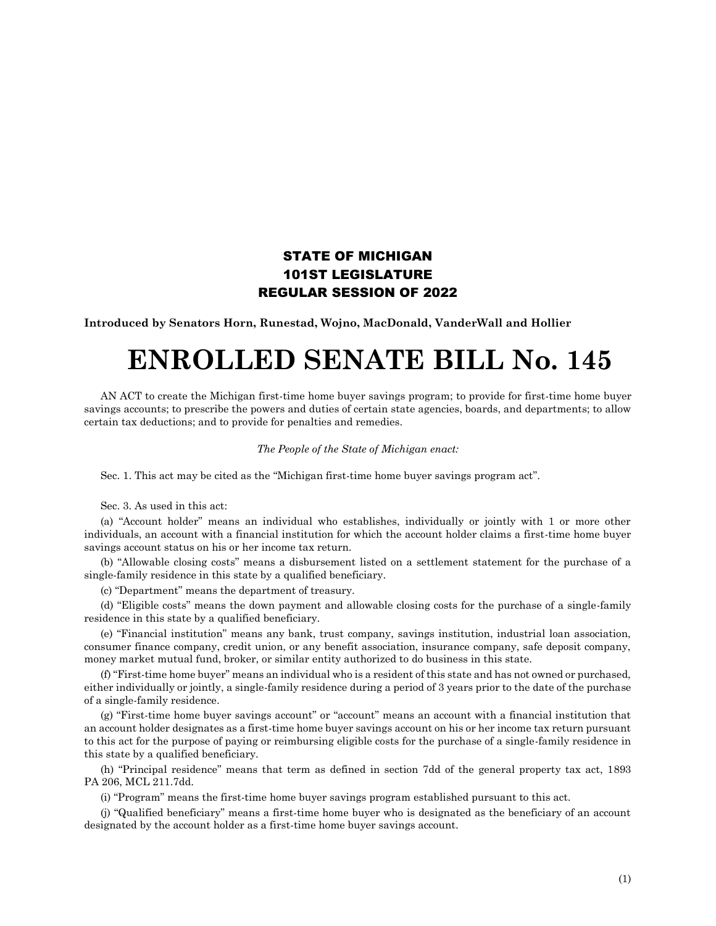## STATE OF MICHIGAN 101ST LEGISLATURE REGULAR SESSION OF 2022

**Introduced by Senators Horn, Runestad, Wojno, MacDonald, VanderWall and Hollier**

## **ENROLLED SENATE BILL No. 145**

AN ACT to create the Michigan first-time home buyer savings program; to provide for first-time home buyer savings accounts; to prescribe the powers and duties of certain state agencies, boards, and departments; to allow certain tax deductions; and to provide for penalties and remedies.

*The People of the State of Michigan enact:*

Sec. 1. This act may be cited as the "Michigan first-time home buyer savings program act".

Sec. 3. As used in this act:

(a) "Account holder" means an individual who establishes, individually or jointly with 1 or more other individuals, an account with a financial institution for which the account holder claims a first-time home buyer savings account status on his or her income tax return.

(b) "Allowable closing costs" means a disbursement listed on a settlement statement for the purchase of a single-family residence in this state by a qualified beneficiary.

(c) "Department" means the department of treasury.

(d) "Eligible costs" means the down payment and allowable closing costs for the purchase of a single-family residence in this state by a qualified beneficiary.

(e) "Financial institution" means any bank, trust company, savings institution, industrial loan association, consumer finance company, credit union, or any benefit association, insurance company, safe deposit company, money market mutual fund, broker, or similar entity authorized to do business in this state.

(f) "First-time home buyer" means an individual who is a resident of this state and has not owned or purchased, either individually or jointly, a single-family residence during a period of 3 years prior to the date of the purchase of a single-family residence.

(g) "First-time home buyer savings account" or "account" means an account with a financial institution that an account holder designates as a first-time home buyer savings account on his or her income tax return pursuant to this act for the purpose of paying or reimbursing eligible costs for the purchase of a single-family residence in this state by a qualified beneficiary.

(h) "Principal residence" means that term as defined in section 7dd of the general property tax act, 1893 PA 206, MCL 211.7dd.

(i) "Program" means the first-time home buyer savings program established pursuant to this act.

(j) "Qualified beneficiary" means a first-time home buyer who is designated as the beneficiary of an account designated by the account holder as a first-time home buyer savings account.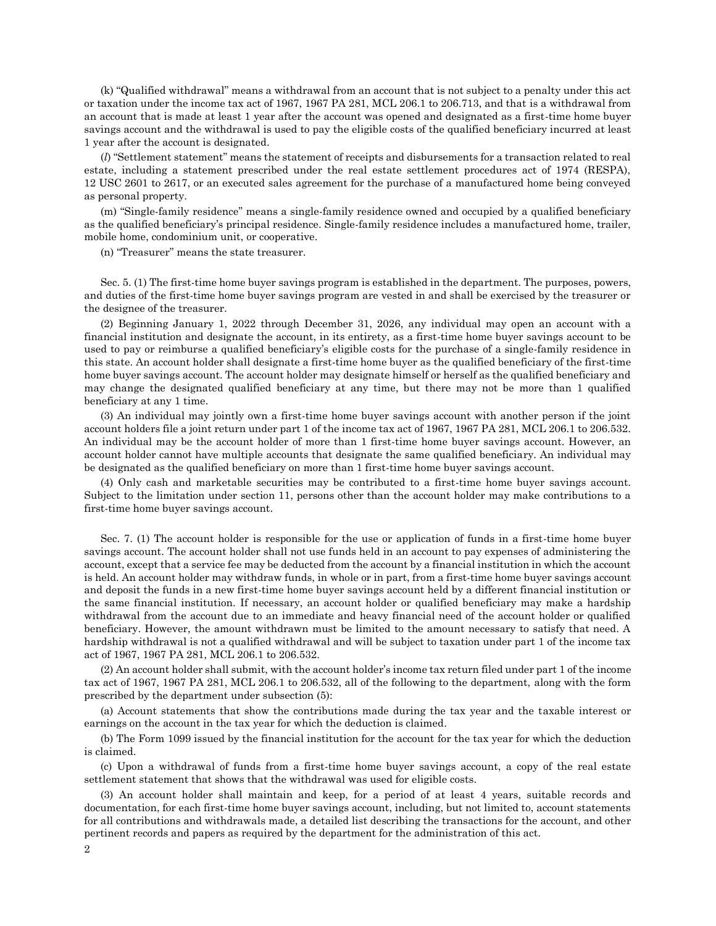(k) "Qualified withdrawal" means a withdrawal from an account that is not subject to a penalty under this act or taxation under the income tax act of 1967, 1967 PA 281, MCL 206.1 to 206.713, and that is a withdrawal from an account that is made at least 1 year after the account was opened and designated as a first-time home buyer savings account and the withdrawal is used to pay the eligible costs of the qualified beneficiary incurred at least 1 year after the account is designated.

(*l*) "Settlement statement" means the statement of receipts and disbursements for a transaction related to real estate, including a statement prescribed under the real estate settlement procedures act of 1974 (RESPA), 12 USC 2601 to 2617, or an executed sales agreement for the purchase of a manufactured home being conveyed as personal property.

(m) "Single-family residence" means a single-family residence owned and occupied by a qualified beneficiary as the qualified beneficiary's principal residence. Single-family residence includes a manufactured home, trailer, mobile home, condominium unit, or cooperative.

(n) "Treasurer" means the state treasurer.

Sec. 5. (1) The first-time home buyer savings program is established in the department. The purposes, powers, and duties of the first-time home buyer savings program are vested in and shall be exercised by the treasurer or the designee of the treasurer.

(2) Beginning January 1, 2022 through December 31, 2026, any individual may open an account with a financial institution and designate the account, in its entirety, as a first-time home buyer savings account to be used to pay or reimburse a qualified beneficiary's eligible costs for the purchase of a single-family residence in this state. An account holder shall designate a first-time home buyer as the qualified beneficiary of the first-time home buyer savings account. The account holder may designate himself or herself as the qualified beneficiary and may change the designated qualified beneficiary at any time, but there may not be more than 1 qualified beneficiary at any 1 time.

(3) An individual may jointly own a first-time home buyer savings account with another person if the joint account holders file a joint return under part 1 of the income tax act of 1967, 1967 PA 281, MCL 206.1 to 206.532. An individual may be the account holder of more than 1 first-time home buyer savings account. However, an account holder cannot have multiple accounts that designate the same qualified beneficiary. An individual may be designated as the qualified beneficiary on more than 1 first-time home buyer savings account.

(4) Only cash and marketable securities may be contributed to a first-time home buyer savings account. Subject to the limitation under section 11, persons other than the account holder may make contributions to a first-time home buyer savings account.

Sec. 7. (1) The account holder is responsible for the use or application of funds in a first-time home buyer savings account. The account holder shall not use funds held in an account to pay expenses of administering the account, except that a service fee may be deducted from the account by a financial institution in which the account is held. An account holder may withdraw funds, in whole or in part, from a first-time home buyer savings account and deposit the funds in a new first-time home buyer savings account held by a different financial institution or the same financial institution. If necessary, an account holder or qualified beneficiary may make a hardship withdrawal from the account due to an immediate and heavy financial need of the account holder or qualified beneficiary. However, the amount withdrawn must be limited to the amount necessary to satisfy that need. A hardship withdrawal is not a qualified withdrawal and will be subject to taxation under part 1 of the income tax act of 1967, 1967 PA 281, MCL 206.1 to 206.532.

(2) An account holder shall submit, with the account holder's income tax return filed under part 1 of the income tax act of 1967, 1967 PA 281, MCL 206.1 to 206.532, all of the following to the department, along with the form prescribed by the department under subsection (5):

(a) Account statements that show the contributions made during the tax year and the taxable interest or earnings on the account in the tax year for which the deduction is claimed.

(b) The Form 1099 issued by the financial institution for the account for the tax year for which the deduction is claimed.

(c) Upon a withdrawal of funds from a first-time home buyer savings account, a copy of the real estate settlement statement that shows that the withdrawal was used for eligible costs.

(3) An account holder shall maintain and keep, for a period of at least 4 years, suitable records and documentation, for each first-time home buyer savings account, including, but not limited to, account statements for all contributions and withdrawals made, a detailed list describing the transactions for the account, and other pertinent records and papers as required by the department for the administration of this act.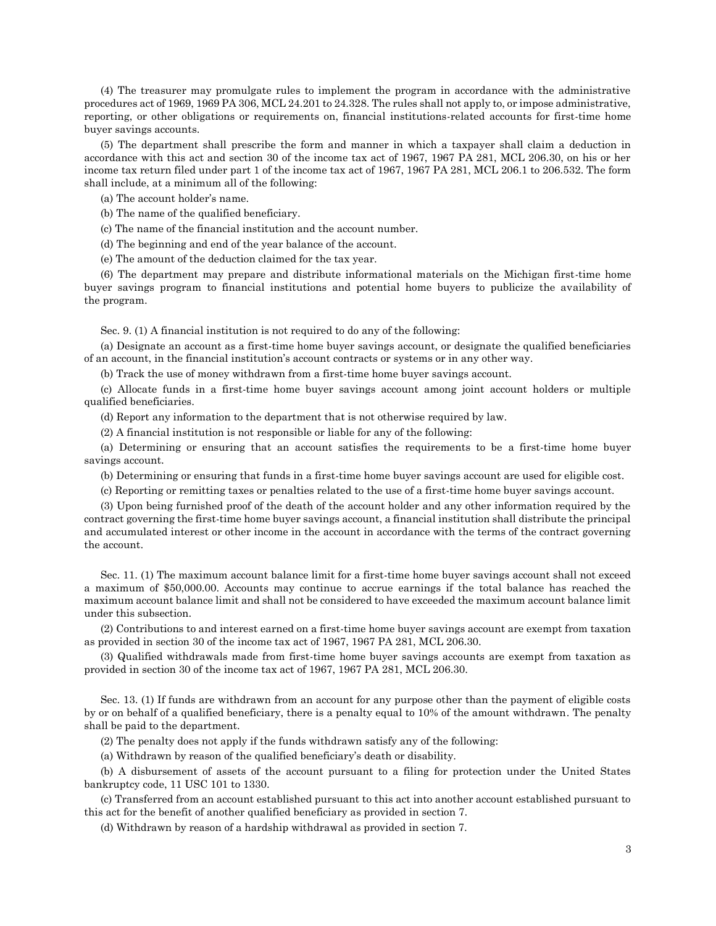(4) The treasurer may promulgate rules to implement the program in accordance with the administrative procedures act of 1969, 1969 PA 306, MCL 24.201 to 24.328. The rules shall not apply to, or impose administrative, reporting, or other obligations or requirements on, financial institutions-related accounts for first-time home buyer savings accounts.

(5) The department shall prescribe the form and manner in which a taxpayer shall claim a deduction in accordance with this act and section 30 of the income tax act of 1967, 1967 PA 281, MCL 206.30, on his or her income tax return filed under part 1 of the income tax act of 1967, 1967 PA 281, MCL 206.1 to 206.532. The form shall include, at a minimum all of the following:

(a) The account holder's name.

(b) The name of the qualified beneficiary.

(c) The name of the financial institution and the account number.

(d) The beginning and end of the year balance of the account.

(e) The amount of the deduction claimed for the tax year.

(6) The department may prepare and distribute informational materials on the Michigan first-time home buyer savings program to financial institutions and potential home buyers to publicize the availability of the program.

Sec. 9. (1) A financial institution is not required to do any of the following:

(a) Designate an account as a first-time home buyer savings account, or designate the qualified beneficiaries of an account, in the financial institution's account contracts or systems or in any other way.

(b) Track the use of money withdrawn from a first-time home buyer savings account.

(c) Allocate funds in a first-time home buyer savings account among joint account holders or multiple qualified beneficiaries.

(d) Report any information to the department that is not otherwise required by law.

(2) A financial institution is not responsible or liable for any of the following:

(a) Determining or ensuring that an account satisfies the requirements to be a first-time home buyer savings account.

(b) Determining or ensuring that funds in a first-time home buyer savings account are used for eligible cost.

(c) Reporting or remitting taxes or penalties related to the use of a first-time home buyer savings account.

(3) Upon being furnished proof of the death of the account holder and any other information required by the contract governing the first-time home buyer savings account, a financial institution shall distribute the principal and accumulated interest or other income in the account in accordance with the terms of the contract governing the account.

Sec. 11. (1) The maximum account balance limit for a first-time home buyer savings account shall not exceed a maximum of \$50,000.00. Accounts may continue to accrue earnings if the total balance has reached the maximum account balance limit and shall not be considered to have exceeded the maximum account balance limit under this subsection.

(2) Contributions to and interest earned on a first-time home buyer savings account are exempt from taxation as provided in section 30 of the income tax act of 1967, 1967 PA 281, MCL 206.30.

(3) Qualified withdrawals made from first-time home buyer savings accounts are exempt from taxation as provided in section 30 of the income tax act of 1967, 1967 PA 281, MCL 206.30.

Sec. 13. (1) If funds are withdrawn from an account for any purpose other than the payment of eligible costs by or on behalf of a qualified beneficiary, there is a penalty equal to 10% of the amount withdrawn. The penalty shall be paid to the department.

(2) The penalty does not apply if the funds withdrawn satisfy any of the following:

(a) Withdrawn by reason of the qualified beneficiary's death or disability.

(b) A disbursement of assets of the account pursuant to a filing for protection under the United States bankruptcy code, 11 USC 101 to 1330.

(c) Transferred from an account established pursuant to this act into another account established pursuant to this act for the benefit of another qualified beneficiary as provided in section 7.

(d) Withdrawn by reason of a hardship withdrawal as provided in section 7.